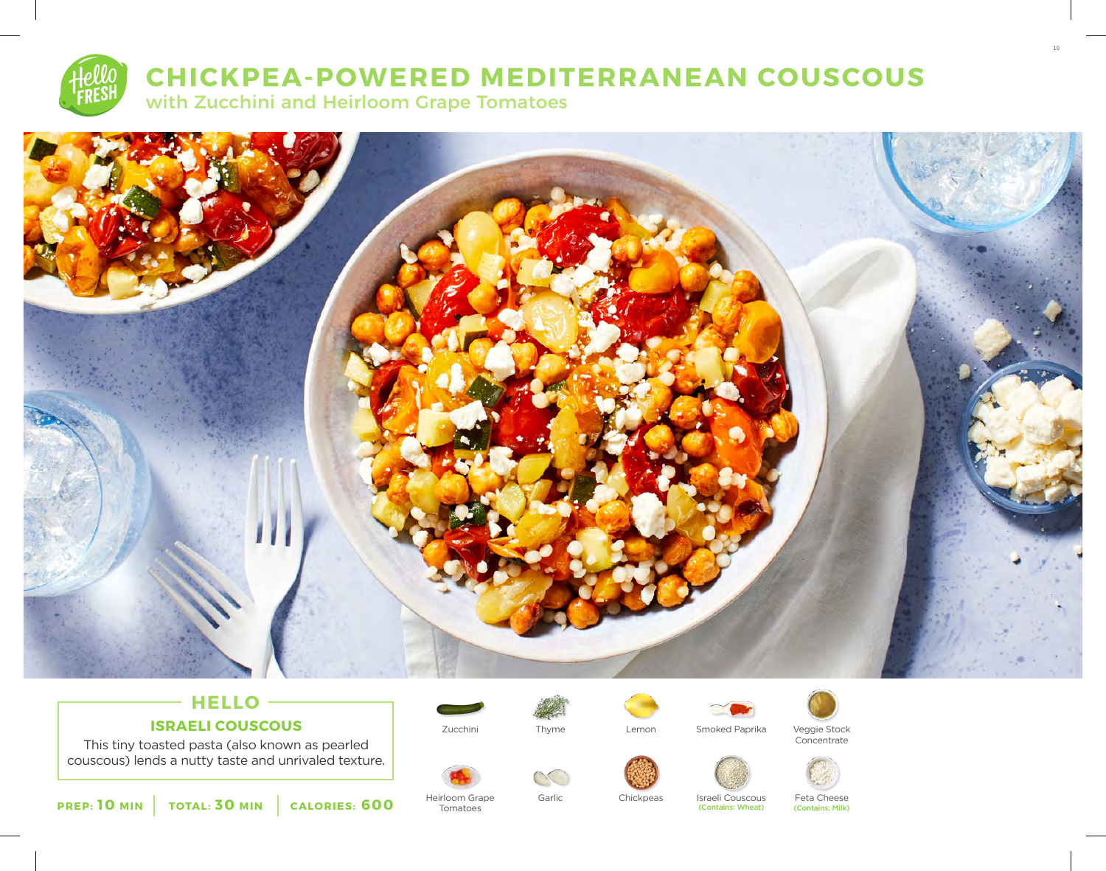

# **CHICKPEA-POWERED MEDITERRANEAN COUSCOUS**

with Zucchini and Heirloom Grape Tomatoes



## **HELLO ISRAELI COUSCOUS**

This tiny toasted pasta (also known as pearled couscous) lends a nutty taste and unrivaled texture.





Heirloom Grape Tomatoes





Zucchini Lemon Smoked Paprika Veggie Stock



Concentrate

10



Garlic Chickpeas Israeli Couscous Feta Cheese<br>Contains: Wheat (Contains: Milk)

(Contains: Wheat)